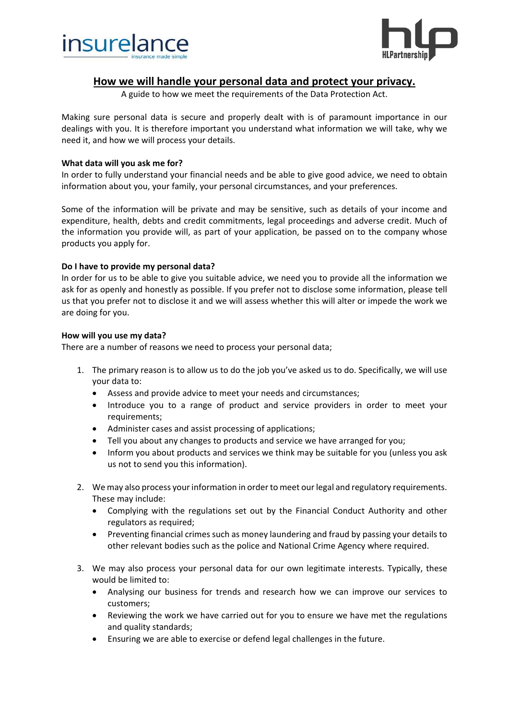



# **How we will handle your personal data and protect your privacy.**

A guide to how we meet the requirements of the Data Protection Act.

Making sure personal data is secure and properly dealt with is of paramount importance in our dealings with you. It is therefore important you understand what information we will take, why we need it, and how we will process your details.

#### **What data will you ask me for?**

In order to fully understand your financial needs and be able to give good advice, we need to obtain information about you, your family, your personal circumstances, and your preferences.

Some of the information will be private and may be sensitive, such as details of your income and expenditure, health, debts and credit commitments, legal proceedings and adverse credit. Much of the information you provide will, as part of your application, be passed on to the company whose products you apply for.

### **Do I have to provide my personal data?**

In order for us to be able to give you suitable advice, we need you to provide all the information we ask for as openly and honestly as possible. If you prefer not to disclose some information, please tell us that you prefer not to disclose it and we will assess whether this will alter or impede the work we are doing for you.

### **How will you use my data?**

There are a number of reasons we need to process your personal data;

- 1. The primary reason is to allow us to do the job you've asked us to do. Specifically, we will use your data to:
	- Assess and provide advice to meet your needs and circumstances;
	- Introduce you to a range of product and service providers in order to meet your requirements;
	- Administer cases and assist processing of applications;
	- Tell you about any changes to products and service we have arranged for you;
	- Inform you about products and services we think may be suitable for you (unless you ask us not to send you this information).
- 2. We may also process your information in order to meet our legal and regulatory requirements. These may include:
	- Complying with the regulations set out by the Financial Conduct Authority and other regulators as required;
	- Preventing financial crimes such as money laundering and fraud by passing your details to other relevant bodies such as the police and National Crime Agency where required.
- 3. We may also process your personal data for our own legitimate interests. Typically, these would be limited to:
	- Analysing our business for trends and research how we can improve our services to customers;
	- Reviewing the work we have carried out for you to ensure we have met the regulations and quality standards;
	- Ensuring we are able to exercise or defend legal challenges in the future.